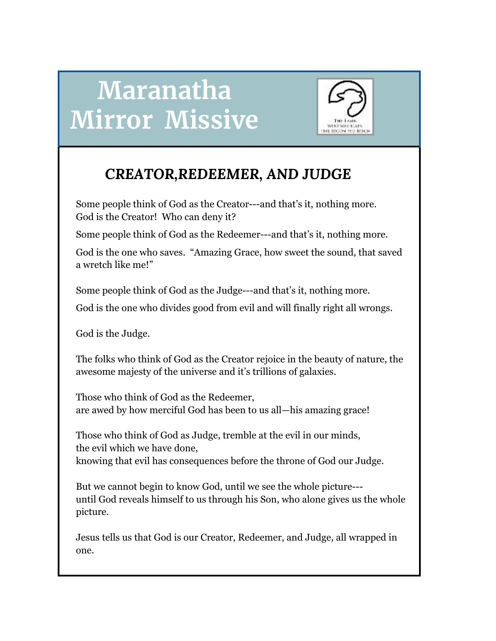# **Maranatha Mirror Missive**



## *CREATOR,REDEEMER, AND JUDGE*

Some people think of God as the Creator---and that's it, nothing more. God is the Creator! Who can deny it?

Some people think of God as the Redeemer---and that's it, nothing more.

God is the one who saves. "Amazing Grace, how sweet the sound, that saved a wretch like me!"

Some people think of God as the Judge---and that's it, nothing more.

God is the one who divides good from evil and will finally right all wrongs.

God is the Judge.

The folks who think of God as the Creator rejoice in the beauty of nature, the awesome majesty of the universe and it's trillions of galaxies.

Those who think of God as the Redeemer, are awed by how merciful God has been to us all—his amazing grace!

Those who think of God as Judge, tremble at the evil in our minds, the evil which we have done, knowing that evil has consequences before the throne of God our Judge.

But we cannot begin to know God, until we see the whole picture-- until God reveals himself to us through his Son, who alone gives us the whole picture.

Jesus tells us that God is our Creator, Redeemer, and Judge, all wrapped in one.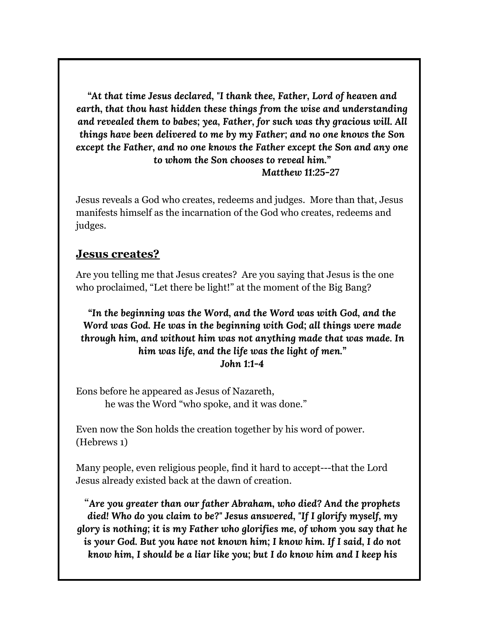*"At that time Jesus declared, "I thank thee, Father, Lord of heaven and earth, that thou hast hidden these things from the wise and understanding and revealed them to babes; yea, Father, for such was thy gracious will. All things have been delivered to me by my Father; and no one knows the Son except the Father, and no one knows the Father except the Son and any one to whom the Son chooses to reveal him."*

*Matthew 11:25-27*

Jesus reveals a God who creates, redeems and judges. More than that, Jesus manifests himself as the incarnation of the God who creates, redeems and judges.

## **Jesus creates?**

Are you telling me that Jesus creates? Are you saying that Jesus is the one who proclaimed, "Let there be light!" at the moment of the Big Bang?

*"In the beginning was the Word, and the Word was with God, and the Word was God. He was in the beginning with God; all things were made through him, and without him was not anything made that was made. In him was life, and the life was the light of men." John 1:1-4*

Eons before he appeared as Jesus of Nazareth, he was the Word "who spoke, and it was done."

Even now the Son holds the creation together by his word of power. (Hebrews 1)

Many people, even religious people, find it hard to accept---that the Lord Jesus already existed back at the dawn of creation.

"*Are you greater than our father Abraham, who died? And the prophets died! Who do you claim to be?" Jesus answered, "If I glorify myself, my glory is nothing; it is my Father who glorifies me, of whom you say that he is your God. But you have not known him; I know him. If I said, I do not know him, I should be a liar like you; but I do know him and I keep his*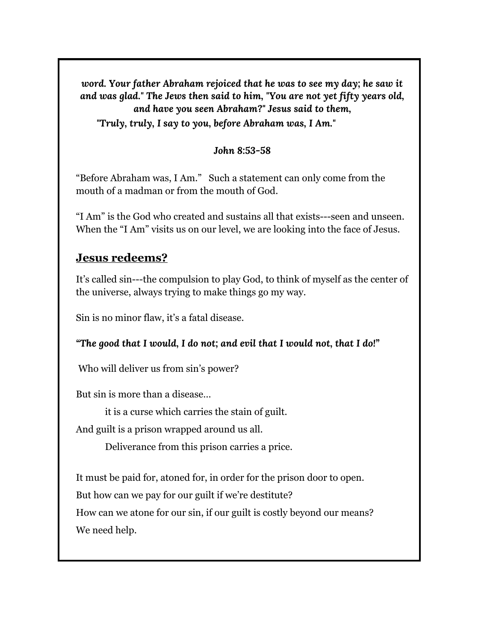*word. Your father Abraham rejoiced that he was to see my day; he saw it and was glad." The Jews then said to him, "You are not yet fifty years old, and have you seen Abraham?" Jesus said to them, "Truly, truly, I say to you, before Abraham was, I Am."*

*John 8:53-58*

"Before Abraham was, I Am." Such a statement can only come from the mouth of a madman or from the mouth of God.

"I Am" is the God who created and sustains all that exists---seen and unseen. When the "I Am" visits us on our level, we are looking into the face of Jesus.

## **Jesus redeems?**

It's called sin---the compulsion to play God, to think of myself as the center of the universe, always trying to make things go my way.

Sin is no minor flaw, it's a fatal disease.

*"The good that I would, I do not; and evil that I would not, that I do!"*

Who will deliver us from sin's power?

But sin is more than a disease…

it is a curse which carries the stain of guilt.

And guilt is a prison wrapped around us all.

Deliverance from this prison carries a price.

It must be paid for, atoned for, in order for the prison door to open.

But how can we pay for our guilt if we're destitute?

How can we atone for our sin, if our guilt is costly beyond our means? We need help.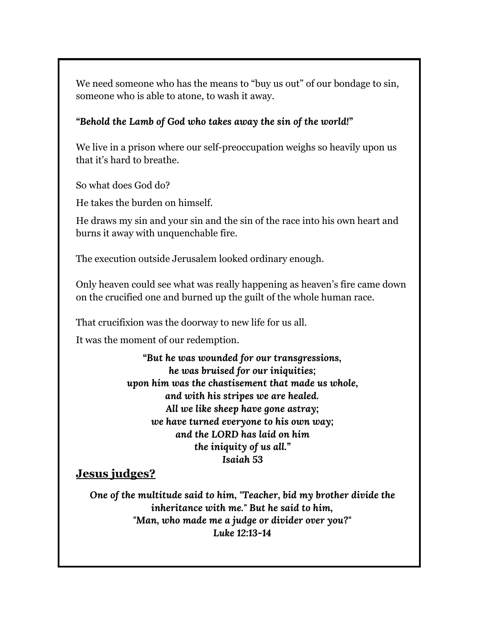We need someone who has the means to "buy us out" of our bondage to sin, someone who is able to atone, to wash it away.

## *"Behold the Lamb of God who takes away the sin of the world!"*

We live in a prison where our self-preoccupation weighs so heavily upon us that it's hard to breathe.

So what does God do?

He takes the burden on himself.

He draws my sin and your sin and the sin of the race into his own heart and burns it away with unquenchable fire.

The execution outside Jerusalem looked ordinary enough.

Only heaven could see what was really happening as heaven's fire came down on the crucified one and burned up the guilt of the whole human race.

That crucifixion was the doorway to new life for us all.

It was the moment of our redemption.

*"But he was wounded for our transgressions, he was bruised for our iniquities; upon him was the chastisement that made us whole, and with his stripes we are healed. All we like sheep have gone astray; we have turned everyone to his own way; and the LORD has laid on him the iniquity of us all." Isaiah 53*

## **Jesus judges?**

*One of the multitude said to him, "Teacher, bid my brother divide the inheritance with me." But he said to him, "Man, who made me a judge or divider over you?" Luke 12:13-14*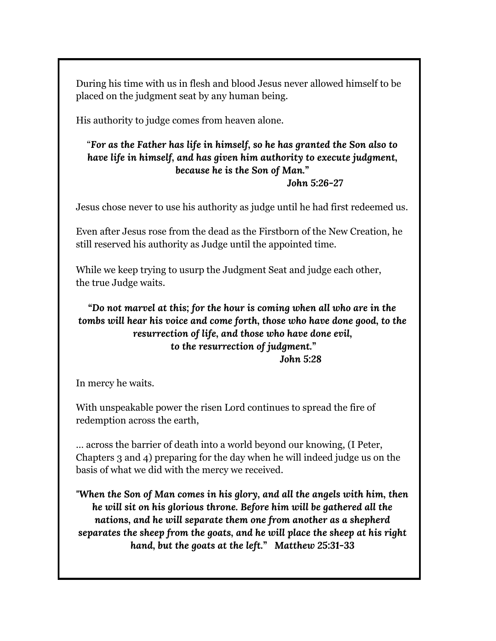During his time with us in flesh and blood Jesus never allowed himself to be placed on the judgment seat by any human being.

His authority to judge comes from heaven alone.

## "*For as the Father has life in himself, so he has granted the Son also to have life in himself, and has given him authority to execute judgment, because he is the Son of Man."*

## *John 5:26-27*

Jesus chose never to use his authority as judge until he had first redeemed us.

Even after Jesus rose from the dead as the Firstborn of the New Creation, he still reserved his authority as Judge until the appointed time.

While we keep trying to usurp the Judgment Seat and judge each other, the true Judge waits.

## *"Do not marvel at this; for the hour is coming when all who are in the tombs will hear his voice and come forth, those who have done good, to the resurrection of life, and those who have done evil, to the resurrection of judgment." John 5:28*

In mercy he waits.

With unspeakable power the risen Lord continues to spread the fire of redemption across the earth,

… across the barrier of death into a world beyond our knowing, (I Peter, Chapters 3 and 4) preparing for the day when he will indeed judge us on the basis of what we did with the mercy we received.

*"When the Son of Man comes in his glory, and all the angels with him, then he will sit on his glorious throne. Before him will be gathered all the nations, and he will separate them one from another as a shepherd separates the sheep from the goats, and he will place the sheep at his right hand, but the goats at the left." Matthew 25:31-33*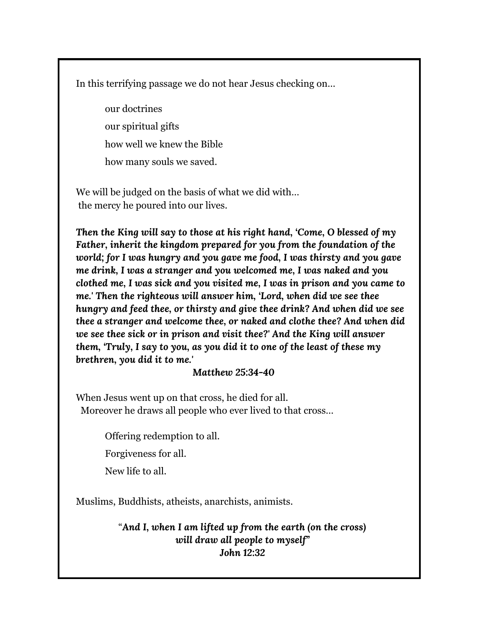In this terrifying passage we do not hear Jesus checking on…

our doctrines our spiritual gifts how well we knew the Bible how many souls we saved.

We will be judged on the basis of what we did with… the mercy he poured into our lives.

*Then the King will say to those at his right hand, 'Come, O blessed of my Father, inherit the kingdom prepared for you from the foundation of the world; for I was hungry and you gave me food, I was thirsty and you gave me drink, I was a stranger and you welcomed me, I was naked and you clothed me, I was sick and you visited me, I was in prison and you came to me.' Then the righteous will answer him, 'Lord, when did we see thee hungry and feed thee, or thirsty and give thee drink? And when did we see thee a stranger and welcome thee, or naked and clothe thee? And when did we see thee sick or in prison and visit thee?' And the King will answer them, 'Truly, I say to you, as you did it to one of the least of these my brethren, you did it to me.'*

#### *Matthew 25:34-40*

When Jesus went up on that cross, he died for all. Moreover he draws all people who ever lived to that cross…

Offering redemption to all.

Forgiveness for all.

New life to all.

Muslims, Buddhists, atheists, anarchists, animists.

"*And I, when I am lifted up from the earth (on the cross) will draw all people to myself" John 12:32*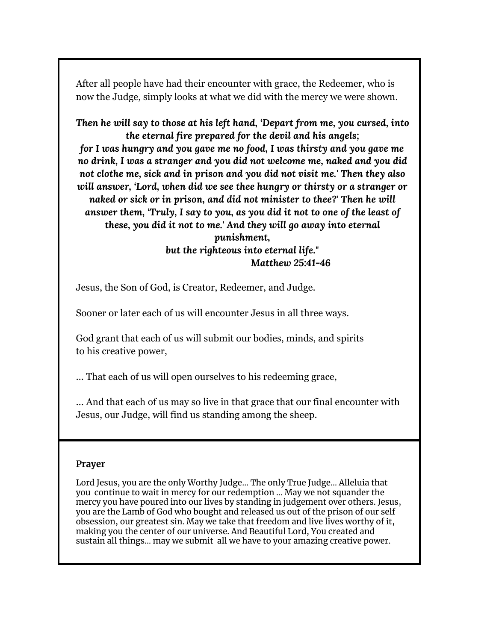After all people have had their encounter with grace, the Redeemer, who is now the Judge, simply looks at what we did with the mercy we were shown.

*Then he will say to those at his left hand, 'Depart from me, you cursed, into the eternal fire prepared for the devil and his angels; for I was hungry and you gave me no food, I was thirsty and you gave me no drink, I was a stranger and you did not welcome me, naked and you did not clothe me, sick and in prison and you did not visit me.' Then they also will answer, 'Lord, when did we see thee hungry or thirsty or a stranger or naked or sick or in prison, and did not minister to thee?' Then he will answer them, 'Truly, I say to you, as you did it not to one of the least of these, you did it not to me.' And they will go away into eternal punishment,*

*but the righteous into eternal life." Matthew 25:41-46*

Jesus, the Son of God, is Creator, Redeemer, and Judge.

Sooner or later each of us will encounter Jesus in all three ways.

God grant that each of us will submit our bodies, minds, and spirits to his creative power,

… That each of us will open ourselves to his redeeming grace,

… And that each of us may so live in that grace that our final encounter with Jesus, our Judge, will find us standing among the sheep.

#### **Prayer**

Lord Jesus, you are the only Worthy Judge… The only True Judge… Alleluia that you continue to wait in mercy for our redemption … May we not squander the mercy you have poured into our lives by standing in judgement over others. Jesus, you are the Lamb of God who bought and released us out of the prison of our self obsession, our greatest sin. May we take that freedom and live lives worthy of it, making you the center of our universe. And Beautiful Lord, You created and sustain all things… may we submit all we have to your amazing creative power.